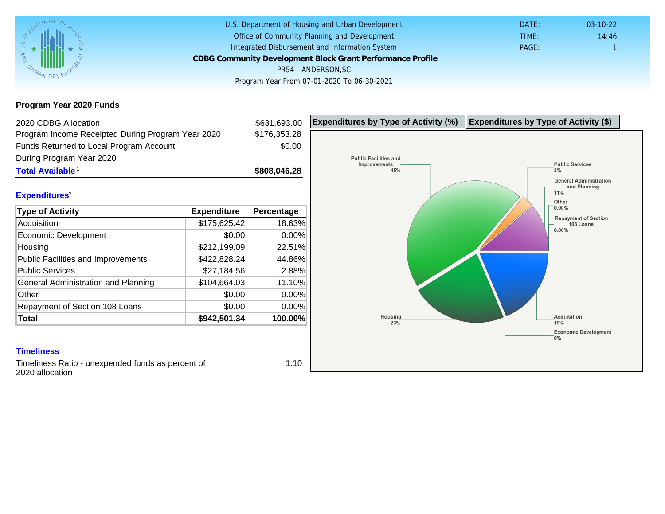# Program Year 2020 Funds

| 2020 CDBG Allocation                              |              | \$631,693.00 | Expenditures by Type of Activity (%) | Expenditure |
|---------------------------------------------------|--------------|--------------|--------------------------------------|-------------|
| Program Income Receipted During Program Year 2020 |              | \$176,353.28 |                                      |             |
| Funds Returned to Local Program Account           |              | \$0.00       |                                      |             |
| During Program Year 2020                          |              |              |                                      |             |
| Total Available <sup>1</sup>                      |              | \$808,046.28 |                                      |             |
| Expenditures <sup>2</sup>                         |              |              |                                      |             |
| Type of Activity                                  | Expenditure  | Percentage   |                                      |             |
| Acquisition                                       | \$175,625.42 | 18.63%       |                                      |             |
| Economic Development                              | \$0.00       | 0.00%        |                                      |             |
| Housing                                           | \$212,199.09 | 22.51%       |                                      |             |
| Public Facilities and Improvements                | \$422,828.24 | 44.86%       |                                      |             |
| <b>Public Services</b>                            | \$27,184.56  | 2.88%        |                                      |             |
| General Administration and Planning               | \$104,664.03 | 11.10%       |                                      |             |
| Other                                             | \$0.00       | 0.00%        |                                      |             |
| Repayment of Section 108 Loans                    | \$0.00       | 0.00%        |                                      |             |
| Total                                             | \$942,501.34 | 100.00%      |                                      |             |

### **Timeliness**

Timeliness Ratio - unexpended funds as percent of 2020 allocation

1.10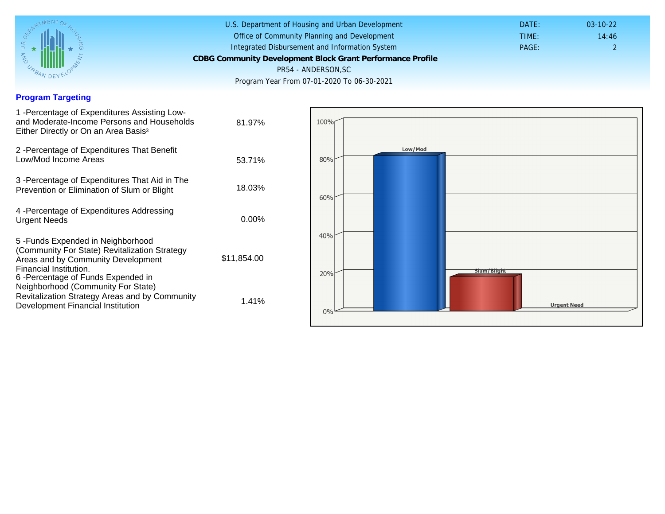## Program Targeting

| 1 - Percentage of Expenditures Assisting Low-<br>and Moderate-Income Persons and Households<br>Either Directly or On an Area Basis <sup>3</sup>                                          | 81.97%      |
|------------------------------------------------------------------------------------------------------------------------------------------------------------------------------------------|-------------|
| 2 - Percentage of Expenditures That Benefit<br>Low/Mod Income Areas                                                                                                                      | 53.71%      |
| 3 -Percentage of Expenditures That Aid in The<br>Prevention or Elimination of Slum or Blight                                                                                             | 18.03%      |
| 4 - Percentage of Expenditures Addressing<br><b>Urgent Needs</b>                                                                                                                         | $0.00\%$    |
| 5-Funds Expended in Neighborhood<br>(Community For State) Revitalization Strategy<br>Areas and by Community Development<br>Financial Institution.<br>6 - Percentage of Funds Expended in | \$11,854.00 |
| Neighborhood (Community For State)<br>Revitalization Strategy Areas and by Community<br>Development Financial Institution                                                                | 1.41%       |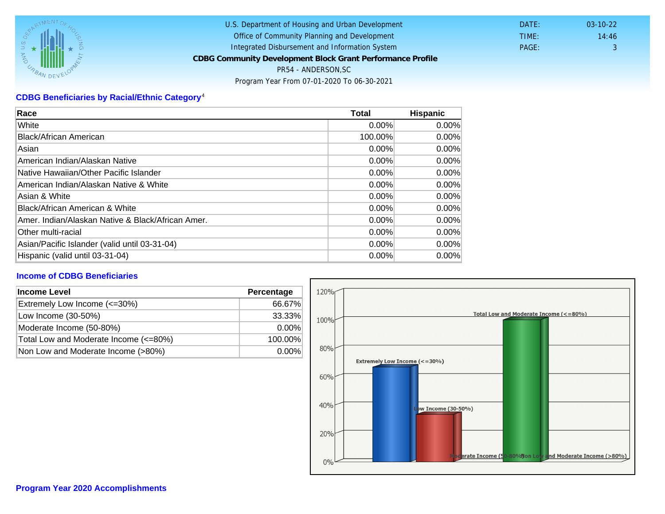# CDBG Beneficiaries by Racial/Ethnic Category <sup>4</sup>

| Race                                              | Total    | Hispanic |
|---------------------------------------------------|----------|----------|
| White                                             | $0.00\%$ | $0.00\%$ |
| Black/African American                            | 100.00%  | $0.00\%$ |
| Asian                                             | $0.00\%$ | $0.00\%$ |
| IAmerican Indian/Alaskan Native                   | $0.00\%$ | $0.00\%$ |
| lNative Hawaiian/Other Pacific Islander           | $0.00\%$ | $0.00\%$ |
| American Indian/Alaskan Native & White            | 0.00%    | $0.00\%$ |
| Asian & White                                     | 0.00%    | $0.00\%$ |
| Black/African American & White                    | $0.00\%$ | $0.00\%$ |
| Amer. Indian/Alaskan Native & Black/African Amer. | $0.00\%$ | $0.00\%$ |
| <b>Other multi-racial</b>                         | $0.00\%$ | 0.00%    |
| Asian/Pacific Islander (valid until 03-31-04)     | 0.00%    | 0.00%    |
| Hispanic (valid until 03-31-04)                   | $0.00\%$ | $0.00\%$ |

### Income of CDBG Beneficiaries

| Income Level                          | Percentage |  |
|---------------------------------------|------------|--|
| Extremely Low Income (<=30%)          | 66.67%     |  |
| Low Income (30-50%)                   | 33.33%     |  |
| Moderate Income (50-80%)              | $0.00\%$   |  |
| Total Low and Moderate Income (<=80%) | 100.00%    |  |
| Non Low and Moderate Income (>80%)    | $0.00\%$   |  |